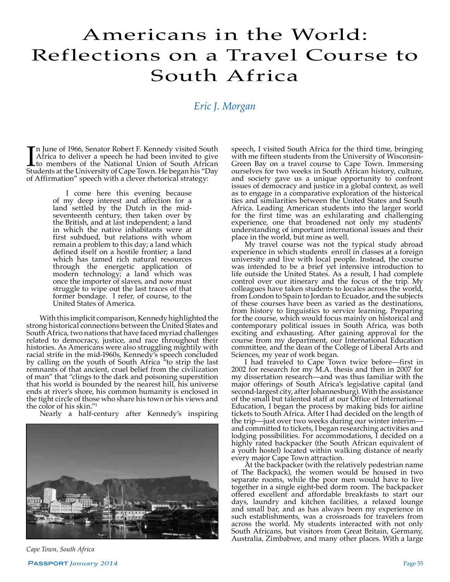## Americans in the World: Reflections on a Travel Course to South Africa

## *Eric J. Morgan*

In June of 1966, Senator Robert F. Kennedy visited South<br>Africa to deliver a speech he had been invited to give<br>to members of the National Union of South African<br>Students at the University of Cape Town. He began his "Day n June of 1966, Senator Robert F. Kennedy visited South Africa to deliver a speech he had been invited to give to members of the National Union of South African of Affirmation" speech with a clever rhetorical strategy:

> I come here this evening because of my deep interest and affection for a land settled by the Dutch in the midseventeenth century, then taken over by the British, and at last independent; a land in which the native inhabitants were at first subdued, but relations with whom remain a problem to this day; a land which defined itself on a hostile frontier; a land which has tamed rich natural resources through the energetic application of modern technology; a land which was once the importer of slaves, and now must struggle to wipe out the last traces of that former bondage. I refer, of course, to the United States of America.

With this implicit comparison, Kennedy highlighted the strong historical connections between the United States and South Africa, two nations that have faced myriad challenges related to democracy, justice, and race throughout their histories. As Americans were also struggling mightily with racial strife in the mid-1960s, Kennedy's speech concluded by calling on the youth of South Africa "to strip the last remnants of that ancient, cruel belief from the civilization of man" that "clings to the dark and poisoning superstition that his world is bounded by the nearest hill, his universe ends at river's shore, his common humanity is enclosed in the tight circle of those who share his town or his views and the color of his skin."1

Nearly a half-century after Kennedy's inspiring



speech, I visited South Africa for the third time, bringing with me fifteen students from the University of Wisconsin-Green Bay on a travel course to Cape Town. Immersing ourselves for two weeks in South African history, culture, and society gave us a unique opportunity to confront issues of democracy and justice in a global context, as well as to engage in a comparative exploration of the historical ties and similarities between the United States and South Africa. Leading American students into the larger world for the first time was an exhilarating and challenging experience, one that broadened not only my students' understanding of important international issues and their place in the world, but mine as well. My travel course was not the typical study abroad

experience in which students enroll in classes at a foreign university and live with local people. Instead, the course was intended to be a brief yet intensive introduction to life outside the United States. As a result, I had complete control over our itinerary and the focus of the trip. My colleagues have taken students to locales across the world, from London to Spain to Jordan to Ecuador, and the subjects of these courses have been as varied as the destinations, from history to linguistics to service learning. Preparing for the course, which would focus mainly on historical and contemporary political issues in South Africa, was both exciting and exhausting. After gaining approval for the course from my department, our International Education committee, and the dean of the College of Liberal Arts and

I had traveled to Cape Town twice before—first in 2002 for research for my M.A. thesis and then in 2007 for my dissertation research—and was thus familiar with the major offerings of South Africa's legislative capital (and second-largest city, after Johannesburg). With the assistance of the small but talented staff at our Office of International Education, I began the process by making bids for airline tickets to South Africa. After I had decided on the length of the trip—just over two weeks during our winter interim and committed to tickets, I began researching activities and lodging possibilities. For accommodations, I decided on a highly rated backpacker (the South African equivalent of a youth hostel) located within walking distance of nearly every major Cape Town attraction.

At the backpacker (with the relatively pedestrian name of The Backpack), the women would be housed in two separate rooms, while the poor men would have to live together in a single eight-bed dorm room. The backpacker offered excellent and affordable breakfasts to start our days, laundry and kitchen facilities, a relaxed lounge and small bar, and as has always been my experience in such establishments, was a crossroads for travelers from across the world. My students interacted with not only South Africans, but visitors from Great Britain, Germany, Australia, Zimbabwe, and many other places. With a large

*Cape Town, South Africa*

Passport *January 2014* Page 55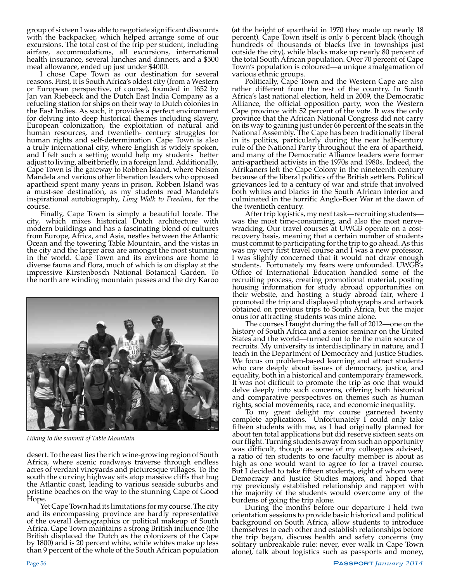group of sixteen I was able to negotiate significant discounts with the backpacker, which helped arrange some of our excursions. The total cost of the trip per student, including airfare, accommodations, all excursions, international health insurance, several lunches and dinners, and a \$500 meal allowance, ended up just under \$4000.

I chose Cape Town as our destination for several reasons. First, it is South Africa's oldest city (from a Western or European perspective, of course), founded in 1652 by Jan van Riebeeck and the Dutch East India Company as a refueling station for ships on their way to Dutch colonies in the East Indies. As such, it provides a perfect environment for delving into deep historical themes including slavery, European colonization, the exploitation of natural and human resources, and twentieth- century struggles for human rights and self-determination. Cape Town is also a truly international city, where English is widely spoken, and I felt such a setting would help my students better adjust to living, albeit briefly, in a foreign land. Additionally, Cape Town is the gateway to Robben Island, where Nelson Mandela and various other liberation leaders who opposed apartheid spent many years in prison. Robben Island was a must-see destination, as my students read Mandela's inspirational autobiography, *Long Walk to Freedom*, for the course.

Finally, Cape Town is simply a beautiful locale. The city, which mixes historical Dutch architecture with modern buildings and has a fascinating blend of cultures from Europe, Africa, and Asia, nestles between the Atlantic Ocean and the towering Table Mountain, and the vistas in the city and the larger area are amongst the most stunning in the world. Cape Town and its environs are home to diverse fauna and flora, much of which is on display at the impressive Kirstenbosch National Botanical Garden. To the north are winding mountain passes and the dry Karoo



*Hiking to the summit of Table Mountain*

desert. To the east lies the rich wine-growing region of South Africa, where scenic roadways traverse through endless acres of verdant vineyards and picturesque villages. To the south the curving highway sits atop massive cliffs that hug the Atlantic coast, leading to various seaside suburbs and pristine beaches on the way to the stunning Cape of Good Hope.

Yet Cape Town had its limitations for my course. The city and its encompassing province are hardly representative of the overall demographics or political makeup of South Africa. Cape Town maintains a strong British influence (the British displaced the Dutch as the colonizers of the Cape by 1800) and is 20 percent white, while whites make up less than 9 percent of the whole of the South African population

(at the height of apartheid in 1970 they made up nearly 18 percent). Cape Town itself is only 6 percent black (though hundreds of thousands of blacks live in townships just outside the city), while blacks make up nearly 80 percent of the total South African population. Over 70 percent of Cape Town's population is coloured—a unique amalgamation of various ethnic groups.

Politically, Cape Town and the Western Cape are also rather different from the rest of the country. In South Africa's last national election, held in 2009, the Democratic Alliance, the official opposition party, won the Western Cape province with 52 percent of the vote. It was the only province that the African National Congress did not carry on its way to gaining just under 66 percent of the seats in the National Assembly. The Cape has been traditionally liberal in its politics, particularly during the near half-century rule of the National Party throughout the era of apartheid, and many of the Democratic Alliance leaders were former anti-apartheid activists in the 1970s and 1980s. Indeed, the Afrikaners left the Cape Colony in the nineteenth century because of the liberal politics of the British settlers. Political grievances led to a century of war and strife that involved both whites and blacks in the South African interior and culminated in the horrific Anglo-Boer War at the dawn of the twentieth century.

After trip logistics, my next task—recruiting students was the most time-consuming, and also the most nervewracking. Our travel courses at UWGB operate on a costrecovery basis, meaning that a certain number of students must commit to participating for the trip to go ahead. As this was my very first travel course and I was a new professor, I was slightly concerned that it would not draw enough students. Fortunately my fears were unfounded. UWGB's Office of International Education handled some of the recruiting process, creating promotional material, posting housing information for study abroad opportunities on their website, and hosting a study abroad fair, where I promoted the trip and displayed photographs and artwork obtained on previous trips to South Africa, but the major onus for attracting students was mine alone.

The courses I taught during the fall of 2012—one on the history of South Africa and a senior seminar on the United States and the world—turned out to be the main source of recruits. My university is interdisciplinary in nature, and I teach in the Department of Democracy and Justice Studies. We focus on problem-based learning and attract students who care deeply about issues of democracy, justice, and equality, both in a historical and contemporary framework. It was not difficult to promote the trip as one that would delve deeply into such concerns, offering both historical and comparative perspectives on themes such as human rights, social movements, race, and economic inequality.

To my great delight my course garnered twenty complete applications. Unfortunately I could only take fifteen students with me, as I had originally planned for about ten total applications but did reserve sixteen seats on our flight. Turning students away from such an opportunity was difficult, though as some of my colleagues advised, a ratio of ten students to one faculty member is about as high as one would want to agree to for a travel course. But I decided to take fifteen students, eight of whom were Democracy and Justice Studies majors, and hoped that my previously established relationship and rapport with the majority of the students would overcome any of the burdens of going the trip alone.

During the months before our departure I held two orientation sessions to provide basic historical and political background on South Africa, allow students to introduce themselves to each other and establish relationships before the trip began, discuss health and safety concerns (my solitary unbreakable rule: never, ever walk in Cape Town alone), talk about logistics such as passports and money,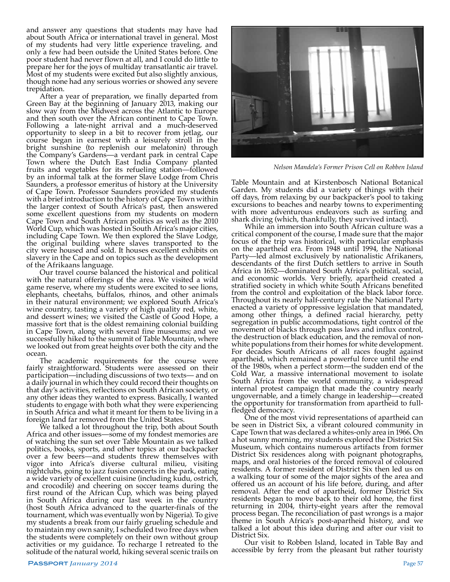and answer any questions that students may have had about South Africa or international travel in general. Most of my students had very little experience traveling, and only a few had been outside the United States before. One poor student had never flown at all, and I could do little to prepare her for the joys of multiday transatlantic air travel. Most of my students were excited but also slightly anxious, though none had any serious worries or showed any severe trepidation.

After a year of preparation, we finally departed from Green Bay at the beginning of January 2013, making our slow way from the Midwest across the Atlantic to Europe and then south over the African continent to Cape Town. Following a late-night arrival and a much-deserved opportunity to sleep in a bit to recover from jetlag, our course began in earnest with a leisurely stroll in the bright sunshine (to replenish our melatonin) through the Company's Gardens—a verdant park in central Cape Town where the Dutch East India Company planted fruits and vegetables for its refueling station—followed by an informal talk at the former Slave Lodge from Chris Saunders, a professor emeritus of history at the University of Cape Town. Professor Saunders provided my students with a brief introduction to the history of Cape Town within the larger context of South Africa's past, then answered some excellent questions from my students on modern Cape Town and South African politics as well as the 2010 World Cup, which was hosted in South Africa's major cities, including Cape Town. We then explored the Slave Lodge, the original building where slaves transported to the city were housed and sold. It houses excellent exhibits on slavery in the Cape and on topics such as the development of the Afrikaans language.

Our travel course balanced the historical and political with the natural offerings of the area. We visited a wild game reserve, where my students were excited to see lions, elephants, cheetahs, buffalos, rhinos, and other animals in their natural environment; we explored South Africa's wine country, tasting a variety of high quality red, white, and dessert wines; we visited the Castle of Good Hope, a massive fort that is the oldest remaining colonial building in Cape Town, along with several fine museums; and we successfully hiked to the summit of Table Mountain, where we looked out from great heights over both the city and the ocean.

The academic requirements for the course were fairly straightforward. Students were assessed on their participation—including discussions of two texts— and on a daily journal in which they could record their thoughts on that day's activities, reflections on South African society, or any other ideas they wanted to express. Basically, I wanted students to engage with both what they were experiencing in South Africa and what it meant for them to be living in a foreign land far removed from the United States.

We talked a lot throughout the trip, both about South Africa and other issues—some of my fondest memories are of watching the sun set over Table Mountain as we talked politics, books, sports, and other topics at our backpacker over a few beers—and students threw themselves with vigor into Africa's diverse cultural milieu, visiting nightclubs, going to jazz fusion concerts in the park, eating a wide variety of excellent cuisine (including kudu, ostrich, and crocodile) and cheering on soccer teams during the first round of the African Cup, which was being played in South Africa during our last week in the country (host South Africa advanced to the quarter-finals of the tournament, which was eventually won by Nigeria). To give my students a break from our fairly grueling schedule and to maintain my own sanity, I scheduled two free days when the students were completely on their own without group activities or my guidance. To recharge I retreated to the solitude of the natural world, hiking several scenic trails on



*Nelson Mandela's Former Prison Cell on Robben Island*

Table Mountain and at Kirstenbosch National Botanical Garden. My students did a variety of things with their off days, from relaxing by our backpacker's pool to taking excursions to beaches and nearby towns to experimenting with more adventurous endeavors such as surfing and shark diving (which, thankfully, they survived intact).

While an immersion into South African culture was a critical component of the course, I made sure that the major focus of the trip was historical, with particular emphasis on the apartheid era. From 1948 until 1994, the National Party—led almost exclusively by nationalistic Afrikaners, descendants of the first Dutch settlers to arrive in South Africa in 1652—dominated South Africa's political, social, and economic worlds. Very briefly, apartheid created a stratified society in which white South Africans benefited from the control and exploitation of the black labor force. Throughout its nearly half-century rule the National Party enacted a variety of oppressive legislation that mandated, among other things, a defined racial hierarchy, petty segregation in public accommodations, tight control of the movement of blacks through pass laws and influx control, the destruction of black education, and the removal of nonwhite populations from their homes for white development. For decades South Africans of all races fought against apartheid, which remained a powerful force until the end of the 1980s, when a perfect storm—the sudden end of the Cold War, a massive international movement to isolate South Africa from the world community, a widespread internal protest campaign that made the country nearly ungovernable, and a timely change in leadership—created the opportunity for transformation from apartheid to fullfledged democracy.

One of the most vivid representations of apartheid can be seen in District Six, a vibrant coloured community in Cape Town that was declared a whites-only area in 1966. On a hot sunny morning, my students explored the District Six Museum, which contains numerous artifacts from former District Six residences along with poignant photographs, maps, and oral histories of the forced removal of coloured residents. A former resident of District Six then led us on a walking tour of some of the major sights of the area and offered us an account of his life before, during, and after removal. After the end of apartheid, former District Six residents began to move back to their old home, the first returning in 2004, thirty-eight years after the removal process began. The reconciliation of past wrongs is a major theme in South Africa's post-apartheid history, and we talked a lot about this idea during and after our visit to District Six.<br>Our visit to Robben Island, located in Table Bay and

accessible by ferry from the pleasant but rather touristy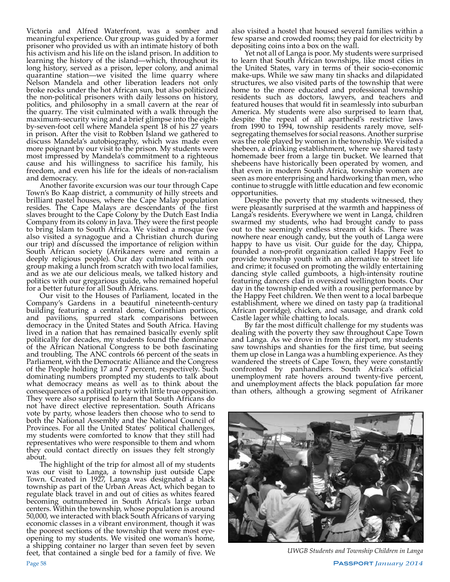Victoria and Alfred Waterfront, was a somber and meaningful experience. Our group was guided by a former prisoner who provided us with an intimate history of both his activism and his life on the island prison. In addition to learning the history of the island—which, throughout its long history, served as a prison, leper colony, and animal quarantine station—we visited the lime quarry where Nelson Mandela and other liberation leaders not only broke rocks under the hot African sun, but also politicized the non-political prisoners with daily lessons on history, politics, and philosophy in a small cavern at the rear of the quarry. The visit culminated with a walk through the maximum-security wing and a brief glimpse into the eightby-seven-foot cell where Mandela spent 18 of his 27 years in prison. After the visit to Robben Island we gathered to discuss Mandela's autobiography, which was made even more poignant by our visit to the prison. My students were most impressed by Mandela's commitment to a righteous cause and his willingness to sacrifice his family, his freedom, and even his life for the ideals of non-racialism and democracy.

Another favorite excursion was our tour through Cape Town's Bo Kaap district, a community of hilly streets and brilliant pastel houses, where the Cape Malay population resides. The Cape Malays are descendants of the first slaves brought to the Cape Colony by the Dutch East India Company from its colony in Java. They were the first people to bring Islam to South Africa. We visited a mosque (we also visited a synagogue and a Christian church during our trip) and discussed the importance of religion within South African society (Afrikaners were and remain a deeply religious people). Our day culminated with our group making a lunch from scratch with two local families, and as we ate our delicious meals, we talked history and politics with our gregarious guide, who remained hopeful for a better future for all South Africans.

Our visit to the Houses of Parliament, located in the Company's Gardens in a beautiful nineteenth-century building featuring a central dome, Corinthian porticos, and pavilions, spurred stark comparisons between democracy in the United States and South Africa. Having lived in a nation that has remained basically evenly split politically for decades, my students found the dominance of the African National Congress to be both fascinating and troubling. The ANC controls 66 percent of the seats in Parliament, with the Democratic Alliance and the Congress of the People holding 17 and 7 percent, respectively. Such dominating numbers prompted my students to talk about what democracy means as well as to think about the consequences of a political party with little true opposition. They were also surprised to learn that South Africans do not have direct elective representation. South Africans vote by party, whose leaders then choose who to send to both the National Assembly and the National Council of Provinces. For all the United States' political challenges, my students were comforted to know that they still had representatives who were responsible to them and whom they could contact directly on issues they felt strongly about.

The highlight of the trip for almost all of my students was our visit to Langa, a township just outside Cape Town. Created in 1927, Langa was designated a black township as part of the Urban Areas Act, which began to regulate black travel in and out of cities as whites feared becoming outnumbered in South Africa's large urban centers. Within the township, whose population is around 50,000, we interacted with black South Africans of varying economic classes in a vibrant environment, though it was the poorest sections of the township that were most eyeopening to my students. We visited one woman's home, a shipping container no larger than seven feet by seven feet, that contained a single bed for a family of five. We

also visited a hostel that housed several families within a few sparse and crowded rooms; they paid for electricity by depositing coins into a box on the wall.

Yet not all of Langa is poor. My students were surprised to learn that South African townships, like most cities in the United States, vary in terms of their socio-economic make-ups. While we saw many tin shacks and dilapidated structures, we also visited parts of the township that were home to the more educated and professional township residents such as doctors, lawyers, and teachers and featured houses that would fit in seamlessly into suburban America. My students were also surprised to learn that, despite the repeal of all apartheid's restrictive laws from 1990 to 1994, township residents rarely move, selfsegregating themselves for social reasons. Another surprise was the role played by women in the township. We visited a shebeen, a drinking establishment, where we shared tasty homemade beer from a large tin bucket. We learned that shebeens have historically been operated by women, and that even in modern South Africa, township women are seen as more enterprising and hardworking than men, who continue to struggle with little education and few economic opportunities.

Despite the poverty that my students witnessed, they were pleasantly surprised at the warmth and happiness of Langa's residents. Everywhere we went in Langa, children swarmed my students, who had brought candy to pass out to the seemingly endless stream of kids. There was nowhere near enough candy, but the youth of Langa were happy to have us visit. Our guide for the day, Chippa, founded a non-profit organization called Happy Feet to provide township youth with an alternative to street life and crime; it focused on promoting the wildly entertaining dancing style called gumboots, a high-intensity routine featuring dancers clad in oversized wellington boots. Our day in the township ended with a rousing performance by the Happy Feet children. We then went to a local barbeque establishment, where we dined on tasty pap (a traditional African porridge), chicken, and sausage, and drank cold Castle lager while chatting to locals.

By far the most difficult challenge for my students was dealing with the poverty they saw throughout Cape Town and Langa. As we drove in from the airport, my students saw townships and shanties for the first time, but seeing them up close in Langa was a humbling experience. As they wandered the streets of Cape Town, they were constantly confronted by panhandlers. South Africa's official unemployment rate hovers around twenty-five percent, and unemployment affects the black population far more than others, although a growing segment of Afrikaner



*UWGB Students and Township Children in Langa*

Page 58 Passport *January 2014*